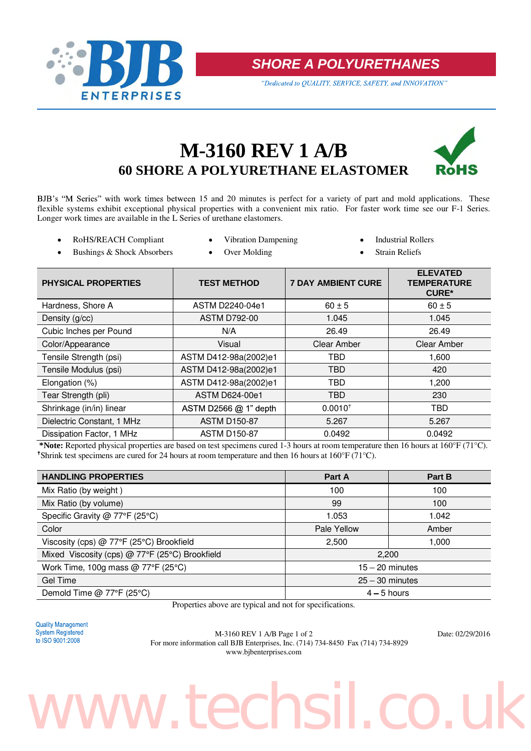

**SHORE A POLYURETHANES** 

"Dedicated to QUALITY, SERVICE, SAFETY, and INNOVATION"

### **M-3160 REV 1 A/B 60 SHORE A POLYURETHANE ELASTOMER**



BJB's "M Series" with work times between 15 and 20 minutes is perfect for a variety of part and mold applications. These flexible systems exhibit exceptional physical properties with a convenient mix ratio. For faster work time see our F-1 Series. Longer work times are available in the L Series of urethane elastomers.

- RoHS/REACH Compliant Vibration Dampening Industrial Rollers
	-
- 
- Bushings & Shock Absorbers Over Molding Strain Reliefs
- 

| <b>PHYSICAL PROPERTIES</b> | <b>TEST METHOD</b>      | <b>7 DAY AMBIENT CURE</b> | <b>ELEVATED</b><br><b>TEMPERATURE</b><br><b>CURE*</b> |
|----------------------------|-------------------------|---------------------------|-------------------------------------------------------|
| Hardness, Shore A          | ASTM D2240-04e1         | $60 \pm 5$                | $60 \pm 5$                                            |
| Density (g/cc)             | <b>ASTM D792-00</b>     | 1.045                     | 1.045                                                 |
| Cubic Inches per Pound     | N/A                     | 26.49                     | 26.49                                                 |
| Color/Appearance           | Visual                  | Clear Amber               | <b>Clear Amber</b>                                    |
| Tensile Strength (psi)     | ASTM D412-98a(2002)e1   | <b>TBD</b>                | 1,600                                                 |
| Tensile Modulus (psi)      | ASTM D412-98a(2002)e1   | <b>TBD</b>                | 420                                                   |
| Elongation (%)             | ASTM D412-98a(2002)e1   | <b>TBD</b>                | 1,200                                                 |
| Tear Strength (pli)        | <b>ASTM D624-00e1</b>   | <b>TBD</b>                | 230                                                   |
| Shrinkage (in/in) linear   | ASTM D2566 $@$ 1" depth | $0.0010^{+}$              | TBD                                                   |
| Dielectric Constant, 1 MHz | <b>ASTM D150-87</b>     | 5.267                     | 5.267                                                 |
| Dissipation Factor, 1 MHz  | <b>ASTM D150-87</b>     | 0.0492                    | 0.0492                                                |

**\*Note:** Reported physical properties are based on test specimens cured 1-3 hours at room temperature then 16 hours at 160°F (71°C). <sup> $\dagger$ </sup>Shrink test specimens are cured for 24 hours at room temperature and then 16 hours at 160°F (71°C).

| <b>HANDLING PROPERTIES</b>                        | Part A            | Part B |
|---------------------------------------------------|-------------------|--------|
| Mix Ratio (by weight)                             | 100               | 100    |
| Mix Ratio (by volume)                             | 99                | 100    |
| Specific Gravity @ 77°F (25°C)                    | 1.053             | 1.042  |
| Color                                             | Pale Yellow       | Amber  |
| Viscosity (cps) @ 77°F (25°C) Brookfield          | 2,500             | 1,000  |
| Mixed Viscosity (cps) @ 77°F (25°C) Brookfield    | 2,200             |        |
| Work Time, 100g mass @ $77^{\circ}F(25^{\circ}C)$ | $15 - 20$ minutes |        |
| Gel Time                                          | $25 - 30$ minutes |        |
| Demold Time @ 77°F (25°C)                         | $4 - 5$ hours     |        |

Properties above are typical and not for specifications.



M-3160 REV 1 A/B Page 1 of 2 Date: 02/29/2016 For more information call BJB Enterprises, Inc. (714) 734-8450 Fax (714) 734-8929 www.bjbenterprises.com

# ww.techsil.co.u